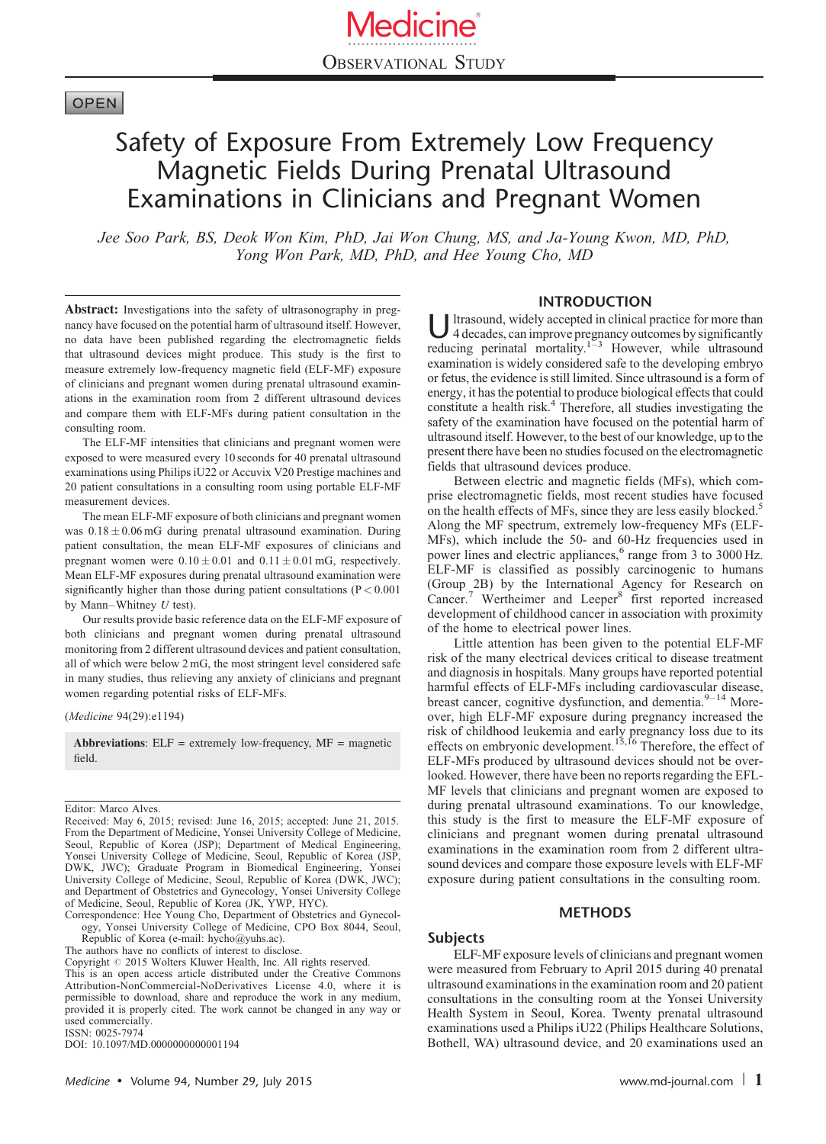# **OPEN**

# Safety of Exposure From Extremely Low Frequency Magnetic Fields During Prenatal Ultrasound Examinations in Clinicians and Pregnant Women

Jee Soo Park, BS, Deok Won Kim, PhD, Jai Won Chung, MS, and Ja-Young Kwon, MD, PhD, Yong Won Park, MD, PhD, and Hee Young Cho, MD

Abstract: Investigations into the safety of ultrasonography in pregnancy have focused on the potential harm of ultrasound itself. However, no data have been published regarding the electromagnetic fields that ultrasound devices might produce. This study is the first to measure extremely low-frequency magnetic field (ELF-MF) exposure of clinicians and pregnant women during prenatal ultrasound examinations in the examination room from 2 different ultrasound devices and compare them with ELF-MFs during patient consultation in the consulting room.

The ELF-MF intensities that clinicians and pregnant women were exposed to were measured every 10 seconds for 40 prenatal ultrasound examinations using Philips iU22 or Accuvix V20 Prestige machines and 20 patient consultations in a consulting room using portable ELF-MF measurement devices.

The mean ELF-MF exposure of both clinicians and pregnant women was  $0.18 \pm 0.06$  mG during prenatal ultrasound examination. During patient consultation, the mean ELF-MF exposures of clinicians and pregnant women were  $0.10 \pm 0.01$  and  $0.11 \pm 0.01$  mG, respectively. Mean ELF-MF exposures during prenatal ultrasound examination were significantly higher than those during patient consultations (P < 0.001 by Mann–Whitney  $U$  test).

Our results provide basic reference data on the ELF-MF exposure of both clinicians and pregnant women during prenatal ultrasound monitoring from 2 different ultrasound devices and patient consultation, all of which were below 2 mG, the most stringent level considered safe in many studies, thus relieving any anxiety of clinicians and pregnant women regarding potential risks of ELF-MFs.

(Medicine 94(29):e1194)

Abbreviations:  $ELF =$  extremely low-frequency,  $MF =$  magnetic field.

Correspondence: Hee Young Cho, Department of Obstetrics and Gynecology, Yonsei University College of Medicine, CPO Box 8044, Seoul, Republic of Korea (e-mail: [hycho@yuhs.ac\)](mailto:hycho@yuhs.ac).

The authors have no conflicts of interest to disclose.

This is an open access article distributed under the Creative Commons Attribution-NonCommercial-NoDerivatives License 4.0, where it is permissible to download, share and reproduce the work in any medium, provided it is properly cited. The work cannot be changed in any way or used commercially.

ISSN: 0025-7974

DOI: [10.1097/MD.0000000000001194](http://dx.doi.org/10.1097/MD.0000000000001194)

#### INTRODUCTION

U ltrasound, widely accepted in clinical practice for more than<br>4 decades, can improve pregnancy outcomes by significantly reducing perinatal mortality.<sup>[1–3](#page-4-0)</sup> However, while ultrasound examination is widely considered safe to the developing embryo or fetus, the evidence is still limited. Since ultrasound is a form of energy, it has the potential to produce biological effects that could constitute a health risk.<sup>4</sup> Therefore, all studies investigating the safety of the examination have focused on the potential harm of ultrasound itself. However, to the best of our knowledge, up to the present there have been no studies focused on the electromagnetic fields that ultrasound devices produce.

Between electric and magnetic fields (MFs), which comprise electromagnetic fields, most recent studies have focused on the health effects of MFs, since they are less easily blocked.<sup>[5](#page-4-0)</sup> Along the MF spectrum, extremely low-frequency MFs (ELF-MFs), which include the 50- and 60-Hz frequencies used in power lines and electric appliances,<sup>[6](#page-4-0)</sup> range from 3 to 3000 Hz. ELF-MF is classified as possibly carcinogenic to humans (Group 2B) by the International Agency for Research on Cancer.<sup>[7](#page-4-0)</sup> Wertheimer and Leeper<sup>[8](#page-4-0)</sup> first reported increased development of childhood cancer in association with proximity of the home to electrical power lines.

Little attention has been given to the potential ELF-MF risk of the many electrical devices critical to disease treatment and diagnosis in hospitals. Many groups have reported potential harmful effects of ELF-MFs including cardiovascular disease, breast cancer, cognitive dysfunction, and dementia. $9-14$  Moreover, high ELF-MF exposure during pregnancy increased the risk of childhood leukemia and early pregnancy loss due to its effects on embryonic development.[15,16](#page-5-0) Therefore, the effect of ELF-MFs produced by ultrasound devices should not be overlooked. However, there have been no reports regarding the EFL-MF levels that clinicians and pregnant women are exposed to during prenatal ultrasound examinations. To our knowledge, this study is the first to measure the ELF-MF exposure of clinicians and pregnant women during prenatal ultrasound examinations in the examination room from 2 different ultrasound devices and compare those exposure levels with ELF-MF exposure during patient consultations in the consulting room.

## **METHODS**

#### Subjects

ELF-MF exposure levels of clinicians and pregnant women were measured from February to April 2015 during 40 prenatal ultrasound examinations in the examination room and 20 patient consultations in the consulting room at the Yonsei University Health System in Seoul, Korea. Twenty prenatal ultrasound examinations used a Philips iU22 (Philips Healthcare Solutions, Bothell, WA) ultrasound device, and 20 examinations used an

Editor: Marco Alves.

Received: May 6, 2015; revised: June 16, 2015; accepted: June 21, 2015. From the Department of Medicine, Yonsei University College of Medicine, Seoul, Republic of Korea (JSP); Department of Medical Engineering, Yonsei University College of Medicine, Seoul, Republic of Korea (JSP, DWK, JWC); Graduate Program in Biomedical Engineering, Yonsei University College of Medicine, Seoul, Republic of Korea (DWK, JWC); and Department of Obstetrics and Gynecology, Yonsei University College of Medicine, Seoul, Republic of Korea (JK, YWP, HYC).

Copyright  $\odot$  2015 Wolters Kluwer Health, Inc. All rights reserved.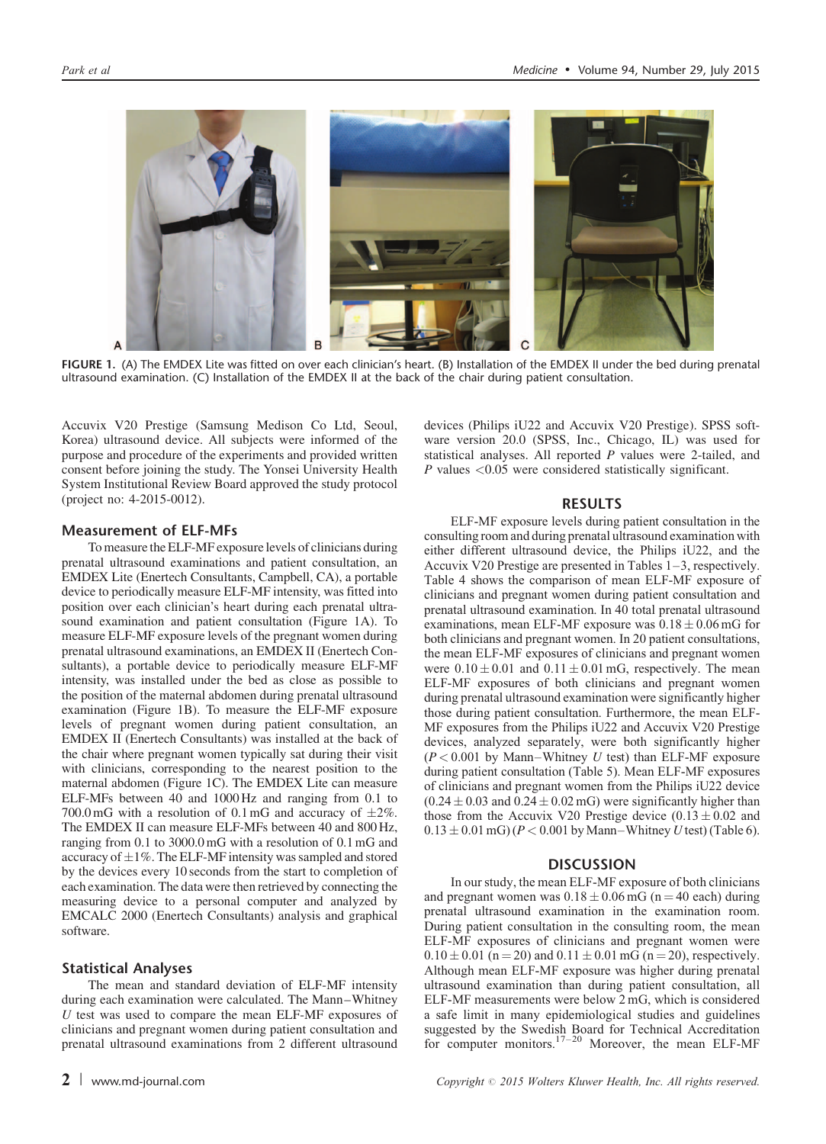

FIGURE 1. (A) The EMDEX Lite was fitted on over each clinician's heart. (B) Installation of the EMDEX II under the bed during prenatal ultrasound examination. (C) Installation of the EMDEX II at the back of the chair during patient consultation.

Accuvix V20 Prestige (Samsung Medison Co Ltd, Seoul, Korea) ultrasound device. All subjects were informed of the purpose and procedure of the experiments and provided written consent before joining the study. The Yonsei University Health System Institutional Review Board approved the study protocol (project no: 4-2015-0012).

#### Measurement of ELF-MFs

To measure the ELF-MF exposure levels of clinicians during prenatal ultrasound examinations and patient consultation, an EMDEX Lite (Enertech Consultants, Campbell, CA), a portable device to periodically measure ELF-MF intensity, was fitted into position over each clinician's heart during each prenatal ultrasound examination and patient consultation (Figure 1A). To measure ELF-MF exposure levels of the pregnant women during prenatal ultrasound examinations, an EMDEX II (Enertech Consultants), a portable device to periodically measure ELF-MF intensity, was installed under the bed as close as possible to the position of the maternal abdomen during prenatal ultrasound examination (Figure 1B). To measure the ELF-MF exposure levels of pregnant women during patient consultation, an EMDEX II (Enertech Consultants) was installed at the back of the chair where pregnant women typically sat during their visit with clinicians, corresponding to the nearest position to the maternal abdomen (Figure 1C). The EMDEX Lite can measure ELF-MFs between 40 and 1000 Hz and ranging from 0.1 to 700.0 mG with a resolution of 0.1 mG and accuracy of  $\pm 2\%$ . The EMDEX II can measure ELF-MFs between 40 and 800 Hz, ranging from 0.1 to 3000.0 mG with a resolution of 0.1 mG and accuracy of  $\pm1\%$ . The ELF-MF intensity was sampled and stored by the devices every 10 seconds from the start to completion of each examination. The data were then retrieved by connecting the measuring device to a personal computer and analyzed by EMCALC 2000 (Enertech Consultants) analysis and graphical software.

#### Statistical Analyses

The mean and standard deviation of ELF-MF intensity during each examination were calculated. The Mann–Whitney U test was used to compare the mean ELF-MF exposures of clinicians and pregnant women during patient consultation and prenatal ultrasound examinations from 2 different ultrasound devices (Philips iU22 and Accuvix V20 Prestige). SPSS software version 20.0 (SPSS, Inc., Chicago, IL) was used for statistical analyses. All reported P values were 2-tailed, and P values <0.05 were considered statistically significant.

#### RESULTS

ELF-MF exposure levels during patient consultation in the consulting room and during prenatal ultrasound examination with either different ultrasound device, the Philips iU22, and the Accuvix V20 Prestige are presented in [Tables 1–3,](#page-2-0) respectively. [Table 4](#page-3-0) shows the comparison of mean ELF-MF exposure of clinicians and pregnant women during patient consultation and prenatal ultrasound examination. In 40 total prenatal ultrasound examinations, mean ELF-MF exposure was  $0.18 \pm 0.06$  mG for both clinicians and pregnant women. In 20 patient consultations, the mean ELF-MF exposures of clinicians and pregnant women were  $0.10 \pm 0.01$  and  $0.11 \pm 0.01$  mG, respectively. The mean ELF-MF exposures of both clinicians and pregnant women during prenatal ultrasound examination were significantly higher those during patient consultation. Furthermore, the mean ELF-MF exposures from the Philips iU22 and Accuvix V20 Prestige devices, analyzed separately, were both significantly higher  $(P< 0.001$  by Mann–Whitney U test) than ELF-MF exposure during patient consultation ([Table 5\)](#page-3-0). Mean ELF-MF exposures of clinicians and pregnant women from the Philips iU22 device  $(0.24 \pm 0.03$  and  $0.24 \pm 0.02$  mG) were significantly higher than those from the Accuvix V20 Prestige device  $(0.13 \pm 0.02$  and  $0.13 \pm 0.01$  mG) ( $P < 0.001$  by Mann–Whitney U test) ([Table 6\)](#page-4-0).

#### **DISCUSSION**

In our study, the mean ELF-MF exposure of both clinicians and pregnant women was  $0.18 \pm 0.06$  mG (n = 40 each) during prenatal ultrasound examination in the examination room. During patient consultation in the consulting room, the mean ELF-MF exposures of clinicians and pregnant women were  $0.10 \pm 0.01$  (n = 20) and  $0.11 \pm 0.01$  mG (n = 20), respectively. Although mean ELF-MF exposure was higher during prenatal ultrasound examination than during patient consultation, all ELF-MF measurements were below 2 mG, which is considered a safe limit in many epidemiological studies and guidelines suggested by the Swedish Board for Technical Accreditation for computer monitors.<sup>[17–20](#page-5-0)</sup> Moreover, the mean ELF-MF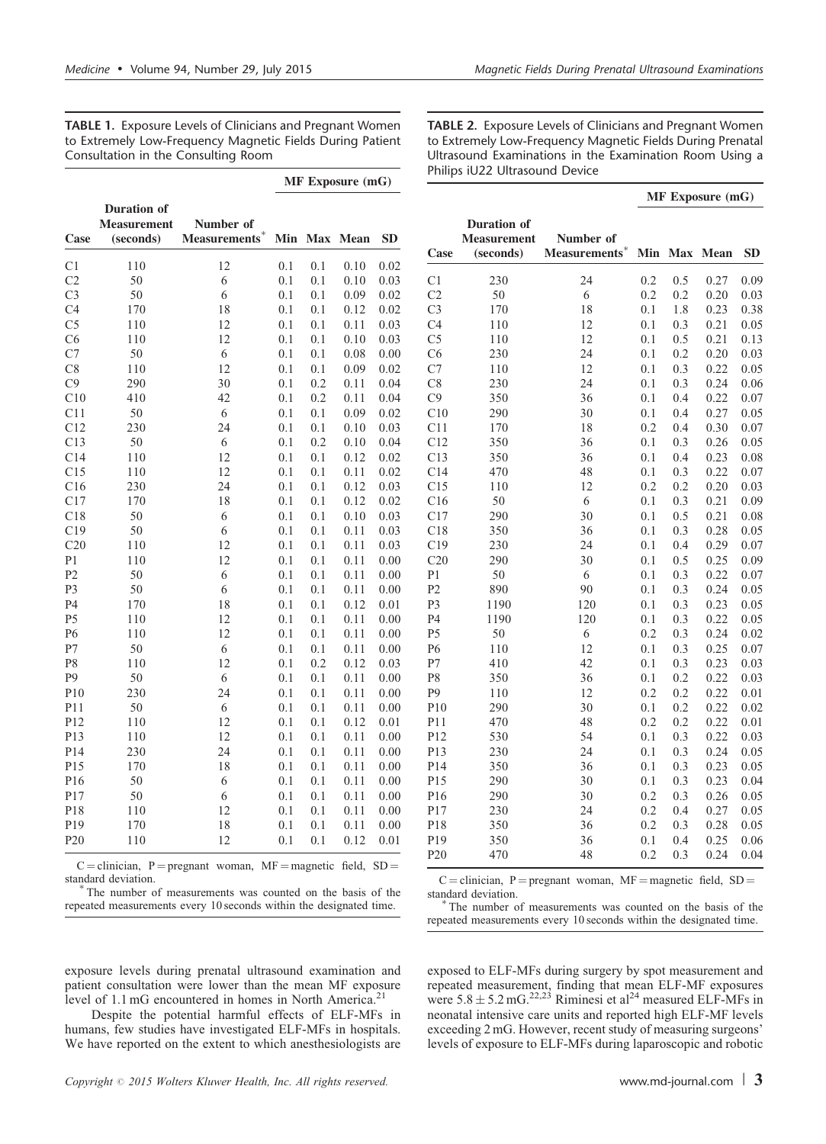<span id="page-2-0"></span>TABLE 1. Exposure Levels of Clinicians and Pregnant Women to Extremely Low-Frequency Magnetic Fields During Patient Consultation in the Consulting Room

|  | <b>MF</b> Exposure (mG) |  |
|--|-------------------------|--|
|--|-------------------------|--|

| Case            | <b>Duration</b> of<br><b>Measurement</b><br>(seconds) | Number of<br>Measurements* | Min | <b>Max</b> | Mean | <b>SD</b> |
|-----------------|-------------------------------------------------------|----------------------------|-----|------------|------|-----------|
| C <sub>1</sub>  | 110                                                   | 12                         | 0.1 | 0.1        | 0.10 | 0.02      |
| C <sub>2</sub>  | 50                                                    | 6                          | 0.1 | 0.1        | 0.10 | 0.03      |
| C <sub>3</sub>  | 50                                                    | 6                          | 0.1 | 0.1        | 0.09 | 0.02      |
| C <sub>4</sub>  | 170                                                   | 18                         | 0.1 | 0.1        | 0.12 | 0.02      |
| C <sub>5</sub>  | 110                                                   | 12                         | 0.1 | 0.1        | 0.11 | 0.03      |
| C6              | 110                                                   | 12                         | 0.1 | 0.1        | 0.10 | 0.03      |
| C7              | 50                                                    | 6                          | 0.1 | 0.1        | 0.08 | 0.00      |
| C8              | 110                                                   | 12                         | 0.1 | 0.1        | 0.09 | 0.02      |
| C9              | 290                                                   | 30                         | 0.1 | 0.2        | 0.11 | 0.04      |
| C10             | 410                                                   | 42                         | 0.1 | 0.2        | 0.11 | 0.04      |
| C11             | 50                                                    | 6                          | 0.1 | 0.1        | 0.09 | 0.02      |
| C12             | 230                                                   | 24                         | 0.1 | 0.1        | 0.10 | 0.03      |
| C13             | 50                                                    | 6                          | 0.1 | 0.2        | 0.10 | 0.04      |
| C14             | 110                                                   | 12                         | 0.1 | 0.1        | 0.12 | 0.02      |
| C15             | 110                                                   | 12                         | 0.1 | 0.1        | 0.11 | 0.02      |
| C16             | 230                                                   | 24                         | 0.1 | 0.1        | 0.12 | 0.03      |
| C17             | 170                                                   | 18                         | 0.1 | 0.1        | 0.12 | 0.02      |
| C18             | 50                                                    | 6                          | 0.1 | 0.1        | 0.10 | 0.03      |
| C19             | 50                                                    | 6                          | 0.1 | 0.1        | 0.11 | 0.03      |
| C20             | 110                                                   | 12                         | 0.1 | 0.1        | 0.11 | 0.03      |
| P <sub>1</sub>  | 110                                                   | 12                         | 0.1 | 0.1        | 0.11 | 0.00      |
| P <sub>2</sub>  | 50                                                    | 6                          | 0.1 | 0.1        | 0.11 | 0.00      |
| P <sub>3</sub>  | 50                                                    | 6                          | 0.1 | 0.1        | 0.11 | 0.00      |
| P <sub>4</sub>  | 170                                                   | 18                         | 0.1 | 0.1        | 0.12 | 0.01      |
| P <sub>5</sub>  | 110                                                   | 12                         | 0.1 | 0.1        | 0.11 | 0.00      |
| P <sub>6</sub>  | 110                                                   | 12                         | 0.1 | 0.1        | 0.11 | 0.00      |
| P7              | 50                                                    | 6                          | 0.1 | 0.1        | 0.11 | 0.00      |
| P8              | 110                                                   | 12                         | 0.1 | 0.2        | 0.12 | 0.03      |
| P <sub>9</sub>  | 50                                                    | 6                          | 0.1 | 0.1        | 0.11 | 0.00      |
| P10             | 230                                                   | 24                         | 0.1 | 0.1        | 0.11 | 0.00      |
| P11             | 50                                                    | 6                          | 0.1 | 0.1        | 0.11 | 0.00      |
| P12             | 110                                                   | 12                         | 0.1 | 0.1        | 0.12 | 0.01      |
| P13             | 110                                                   | 12                         | 0.1 | 0.1        | 0.11 | 0.00      |
| P14             | 230                                                   | 24                         | 0.1 | 0.1        | 0.11 | 0.00      |
| P <sub>15</sub> | 170                                                   | 18                         | 0.1 | 0.1        | 0.11 | 0.00      |
| P <sub>16</sub> | 50                                                    | 6                          | 0.1 | 0.1        | 0.11 | 0.00      |
| P17             | 50                                                    | 6                          | 0.1 | 0.1        | 0.11 | 0.00      |
| P18             | 110                                                   | 12                         | 0.1 | 0.1        | 0.11 | 0.00      |
| P <sub>19</sub> | 170                                                   | 18                         | 0.1 | 0.1        | 0.11 | 0.00      |
| P <sub>20</sub> | 110                                                   | 12                         | 0.1 | 0.1        | 0.12 | 0.01      |

 $C =$  clinician, P = pregnant woman, MF = magnetic field, SD = standard deviation.<br>
<sup>\*</sup>The number of measurements was counted on the basis of the

repeated measurements every 10 seconds within the designated time.

C = clinician, P = pregnant woman, MF = magnetic field, SD = standard deviation.

The number of measurements was counted on the basis of the repeated measurements every 10 seconds within the designated time.

exposed to ELF-MFs during surgery by spot measurement and repeated measurement, finding that mean ELF-MF exposures were  $5.8 \pm 5.2 \text{ mG}^{22,23}$  Riminesi et al<sup>[24](#page-5-0)</sup> measured ELF-MFs in neonatal intensive care units and reported high ELF-MF levels exceeding 2 mG. However, recent study of measuring surgeons' levels of exposure to ELF-MFs during laparoscopic and robotic

exposure levels during prenatal ultrasound examination and patient consultation were lower than the mean MF exposure level of 1.1 mG encountered in homes in North America.<sup>2</sup>

Despite the potential harmful effects of ELF-MFs in humans, few studies have investigated ELF-MFs in hospitals. We have reported on the extent to which anesthesiologists are

TABLE 2. Exposure Levels of Clinicians and Pregnant Women to Extremely Low-Frequency Magnetic Fields During Prenatal Ultrasound Examinations in the Examination Room Using a Philips iU22 Ultrasound Device

#### MF Exposure (mG)

|                 | <b>Duration</b> of |                           |     |            |             |      |
|-----------------|--------------------|---------------------------|-----|------------|-------------|------|
|                 | <b>Measurement</b> | Number of                 |     |            |             |      |
| Case            | (seconds)          | Measurements <sup>*</sup> | Min | <b>Max</b> | <b>Mean</b> | SD.  |
| C <sub>1</sub>  | 230                | 24                        | 0.2 | 0.5        | 0.27        | 0.09 |
| C <sub>2</sub>  | 50                 | 6                         | 0.2 | 0.2        | 0.20        | 0.03 |
| C <sub>3</sub>  | 170                | 18                        | 0.1 | 1.8        | 0.23        | 0.38 |
| C <sub>4</sub>  | 110                | 12                        | 0.1 | 0.3        | 0.21        | 0.05 |
| C <sub>5</sub>  | 110                | 12                        | 0.1 | 0.5        | 0.21        | 0.13 |
| C <sub>6</sub>  | 230                | 24                        | 0.1 | 0.2        | 0.20        | 0.03 |
| C7              | 110                | 12                        | 0.1 | 0.3        | 0.22        | 0.05 |
| C8              | 230                | 24                        | 0.1 | 0.3        | 0.24        | 0.06 |
| C9              | 350                | 36                        | 0.1 | 0.4        | 0.22        | 0.07 |
| C10             | 290                | 30                        | 0.1 | 0.4        | 0.27        | 0.05 |
| C11             | 170                | 18                        | 0.2 | 0.4        | 0.30        | 0.07 |
| C12             | 350                | 36                        | 0.1 | 0.3        | 0.26        | 0.05 |
| C13             | 350                | 36                        | 0.1 | 0.4        | 0.23        | 0.08 |
| C14             | 470                | 48                        | 0.1 | 0.3        | 0.22        | 0.07 |
| C15             | 110                | 12                        | 0.2 | 0.2        | 0.20        | 0.03 |
| C16             | 50                 | 6                         | 0.1 | 0.3        | 0.21        | 0.09 |
| C17             | 290                | 30                        | 0.1 | 0.5        | 0.21        | 0.08 |
| C18             | 350                | 36                        | 0.1 | 0.3        | 0.28        | 0.05 |
| C19             | 230                | 24                        | 0.1 | 0.4        | 0.29        | 0.07 |
| C20             | 290                | 30                        | 0.1 | 0.5        | 0.25        | 0.09 |
| P <sub>1</sub>  | 50                 | 6                         | 0.1 | 0.3        | 0.22        | 0.07 |
| P <sub>2</sub>  | 890                | 90                        | 0.1 | 0.3        | 0.24        | 0.05 |
| P3              | 1190               | 120                       | 0.1 | 0.3        | 0.23        | 0.05 |
| P <sub>4</sub>  | 1190               | 120                       | 0.1 | 0.3        | 0.22        | 0.05 |
| P <sub>5</sub>  | 50                 | 6                         | 0.2 | 0.3        | 0.24        | 0.02 |
| P6              | 110                | 12                        | 0.1 | 0.3        | 0.25        | 0.07 |
| P7              | 410                | 42                        | 0.1 | 0.3        | 0.23        | 0.03 |
| P8              | 350                | 36                        | 0.1 | 0.2        | 0.22        | 0.03 |
| P <sub>9</sub>  | 110                | 12                        | 0.2 | 0.2        | 0.22        | 0.01 |
| P10             | 290                | 30                        | 0.1 | 0.2        | 0.22        | 0.02 |
| P11             | 470                | 48                        | 0.2 | 0.2        | 0.22        | 0.01 |
| P <sub>12</sub> | 530                | 54                        | 0.1 | 0.3        | 0.22        | 0.03 |
| P <sub>13</sub> | 230                | 24                        | 0.1 | 0.3        | 0.24        | 0.05 |
| P <sub>14</sub> | 350                | 36                        | 0.1 | 0.3        | 0.23        | 0.05 |
| P <sub>15</sub> | 290                | 30                        | 0.1 | 0.3        | 0.23        | 0.04 |
| P <sub>16</sub> | 290                | 30                        | 0.2 | 0.3        | 0.26        | 0.05 |
| P17             | 230                | 24                        | 0.2 | 0.4        | 0.27        | 0.05 |
| P18             | 350                | 36                        | 0.2 | 0.3        | 0.28        | 0.05 |
| P19             | 350                | 36                        | 0.1 | 0.4        | 0.25        | 0.06 |
| P <sub>20</sub> | 470                | 48                        | 0.2 | 0.3        | 0.24        | 0.04 |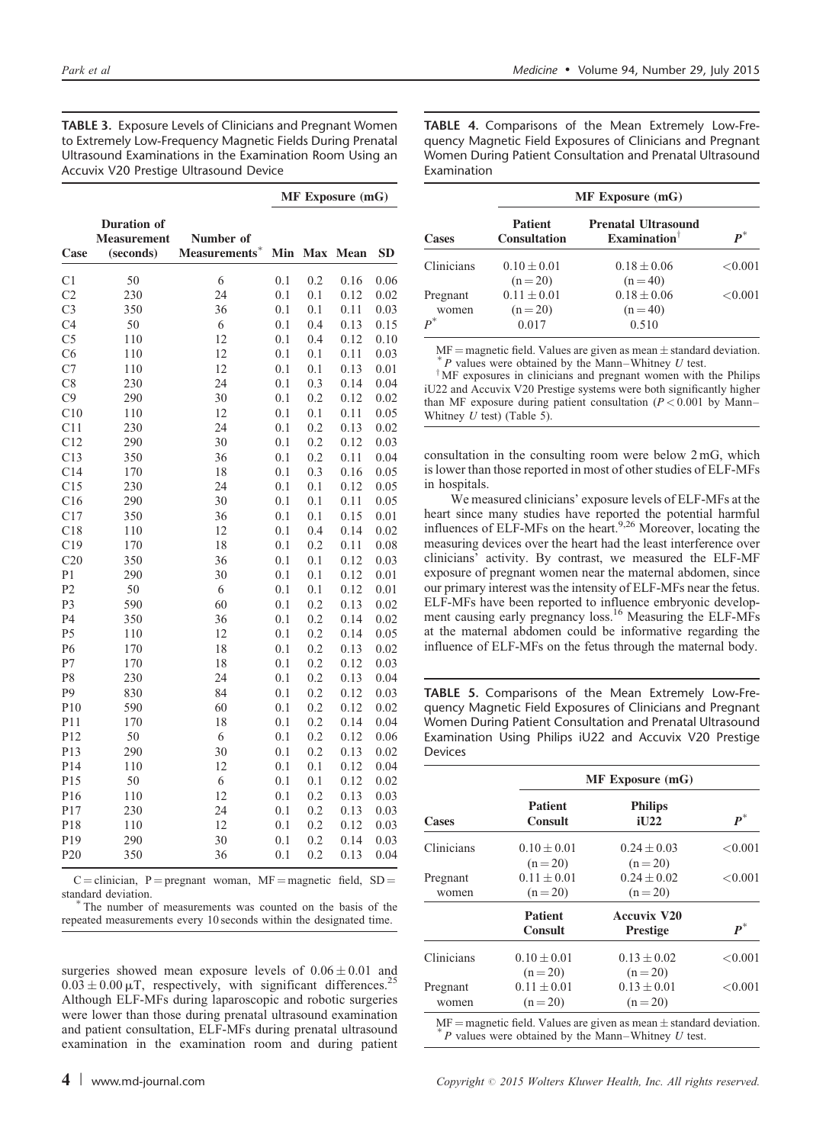<span id="page-3-0"></span>TABLE 3. Exposure Levels of Clinicians and Pregnant Women to Extremely Low-Frequency Magnetic Fields During Prenatal Ultrasound Examinations in the Examination Room Using an Accuvix V20 Prestige Ultrasound Device

|                 |                                                       |                            | <b>MF Exposure (mG)</b> |            |      |           |
|-----------------|-------------------------------------------------------|----------------------------|-------------------------|------------|------|-----------|
| Case            | <b>Duration</b> of<br><b>Measurement</b><br>(seconds) | Number of<br>Measurements* | Min                     | <b>Max</b> | Mean | <b>SD</b> |
| C <sub>1</sub>  | 50                                                    | 6                          | 0.1                     | 0.2        | 0.16 | 0.06      |
| C <sub>2</sub>  | 230                                                   | 24                         | 0.1                     | 0.1        | 0.12 | 0.02      |
| C <sub>3</sub>  | 350                                                   | 36                         | 0.1                     | 0.1        | 0.11 | 0.03      |
| C <sub>4</sub>  | 50                                                    | 6                          | 0.1                     | 0.4        | 0.13 | 0.15      |
| C <sub>5</sub>  | 110                                                   | 12                         | 0.1                     | 0.4        | 0.12 | 0.10      |
| C <sub>6</sub>  | 110                                                   | 12                         | 0.1                     | 0.1        | 0.11 | 0.03      |
| C7              | 110                                                   | 12                         | 0.1                     | 0.1        | 0.13 | 0.01      |
| C8              | 230                                                   | 24                         | 0.1                     | 0.3        | 0.14 | 0.04      |
| C9              | 290                                                   | 30                         | 0.1                     | 0.2        | 0.12 | 0.02      |
| C10             | 110                                                   | 12                         | 0.1                     | 0.1        | 0.11 | 0.05      |
| C11             | 230                                                   | 24                         | 0.1                     | 0.2        | 0.13 | 0.02      |
| C12             | 290                                                   | 30                         | 0.1                     | 0.2        | 0.12 | 0.03      |
| C13             | 350                                                   | 36                         | 0.1                     | 0.2        | 0.11 | 0.04      |
| C14             | 170                                                   | 18                         | 0.1                     | 0.3        | 0.16 | 0.05      |
| C15             | 230                                                   | 24                         | 0.1                     | 0.1        | 0.12 | 0.05      |
| C16             | 290                                                   | 30                         | 0.1                     | 0.1        | 0.11 | 0.05      |
| C17             | 350                                                   | 36                         | 0.1                     | 0.1        | 0.15 | 0.01      |
| C18             | 110                                                   | 12                         | 0.1                     | 0.4        | 0.14 | 0.02      |
| C19             | 170                                                   | 18                         | 0.1                     | 0.2        | 0.11 | 0.08      |
| C20             | 350                                                   | 36                         | 0.1                     | 0.1        | 0.12 | 0.03      |
| P <sub>1</sub>  | 290                                                   | 30                         | 0.1                     | 0.1        | 0.12 | 0.01      |
| P <sub>2</sub>  | 50                                                    | 6                          | 0.1                     | 0.1        | 0.12 | 0.01      |
| P3              | 590                                                   | 60                         | 0.1                     | 0.2        | 0.13 | 0.02      |
| P <sub>4</sub>  | 350                                                   | 36                         | 0.1                     | 0.2        | 0.14 | 0.02      |
| P5              | 110                                                   | 12                         | 0.1                     | 0.2        | 0.14 | 0.05      |
| P <sub>6</sub>  | 170                                                   | 18                         | 0.1                     | 0.2        | 0.13 | 0.02      |
| P7              | 170                                                   | 18                         | 0.1                     | 0.2        | 0.12 | 0.03      |
| P8              | 230                                                   | 24                         | 0.1                     | 0.2        | 0.13 | 0.04      |
| P9              | 830                                                   | 84                         | 0.1                     | 0.2        | 0.12 | 0.03      |
| P <sub>10</sub> | 590                                                   | 60                         | 0.1                     | 0.2        | 0.12 | 0.02      |
| P11             | 170                                                   | 18                         | 0.1                     | 0.2        | 0.14 | 0.04      |
| P <sub>12</sub> | 50                                                    | 6                          | 0.1                     | 0.2        | 0.12 | 0.06      |
| P13             | 290                                                   | 30                         | 0.1                     | 0.2        | 0.13 | 0.02      |
| P14             | 110                                                   | 12                         | 0.1                     | 0.1        | 0.12 | 0.04      |
| P15             | 50                                                    | 6                          | 0.1                     | 0.1        | 0.12 | 0.02      |
| P <sub>16</sub> | 110                                                   | 12                         | 0.1                     | 0.2        | 0.13 | 0.03      |
| P17             | 230                                                   | 24                         | 0.1                     | 0.2        | 0.13 | 0.03      |
| P <sub>18</sub> | 110                                                   | 12                         | 0.1                     | 0.2        | 0.12 | 0.03      |
| P19             | 290                                                   | 30                         | 0.1                     | 0.2        | 0.14 | 0.03      |
| P <sub>20</sub> | 350                                                   | 36                         | 0.1                     | 0.2        | 0.13 | 0.04      |

 $C =$  clinician, P = pregnant woman, MF = magnetic field, SD = standard deviation.<br>
<sup>\*</sup>The number of measurements was counted on the basis of the

repeated measurements every 10 seconds within the designated time.

surgeries showed mean exposure levels of  $0.06 \pm 0.01$  and  $0.03 \pm 0.00 \,\mu$ T, respectively, with significant differences.<sup>2</sup> Although ELF-MFs during laparoscopic and robotic surgeries were lower than those during prenatal ultrasound examination and patient consultation, ELF-MFs during prenatal ultrasound examination in the examination room and during patient TABLE 4. Comparisons of the Mean Extremely Low-Frequency Magnetic Field Exposures of Clinicians and Pregnant Women During Patient Consultation and Prenatal Ultrasound Examination

| <b>Cases</b>                        | $MF$ Exposure $(mG)$                  |                                                        |                    |  |  |
|-------------------------------------|---------------------------------------|--------------------------------------------------------|--------------------|--|--|
|                                     | <b>Patient</b><br><b>Consultation</b> | <b>Prenatal Ultrasound</b><br>Examination <sup>†</sup> | $\boldsymbol{p}^*$ |  |  |
| Clinicians                          | $0.10 + 0.01$<br>$(n=20)$             | $0.18 + 0.06$<br>$(n = 40)$                            | < 0.001            |  |  |
| Pregnant<br>women<br>$\mathbf{p}^*$ | $0.11 + 0.01$<br>$(n=20)$<br>0.017    | $0.18 + 0.06$<br>$(n = 40)$<br>0.510                   | < 0.001            |  |  |

MF = magnetic field. Values are given as mean  $\pm$  standard deviation.  $*$  P values were obtained by the Mann–Whitney U test.

<sup>†</sup>MF exposures in clinicians and pregnant women with the Philips iU22 and Accuvix V20 Prestige systems were both significantly higher than MF exposure during patient consultation  $(P < 0.001$  by Mann– Whitney  $U$  test) (Table 5).

consultation in the consulting room were below 2 mG, which is lower than those reported in most of other studies of ELF-MFs in hospitals.

We measured clinicians' exposure levels of ELF-MFs at the heart since many studies have reported the potential harmful influences of ELF-MFs on the heart.<sup>9,26</sup> Moreover, locating the measuring devices over the heart had the least interference over clinicians' activity. By contrast, we measured the ELF-MF exposure of pregnant women near the maternal abdomen, since our primary interest was the intensity of ELF-MFs near the fetus. ELF-MFs have been reported to influence embryonic develop-ment causing early pregnancy loss.<sup>[16](#page-5-0)</sup> Measuring the ELF-MFs at the maternal abdomen could be informative regarding the influence of ELF-MFs on the fetus through the maternal body.

TABLE 5. Comparisons of the Mean Extremely Low-Frequency Magnetic Field Exposures of Clinicians and Pregnant Women During Patient Consultation and Prenatal Ultrasound Examination Using Philips iU22 and Accuvix V20 Prestige Devices

|                   | <b>MF</b> Exposure (mG)          |                                                                                                                                     |                    |  |  |  |
|-------------------|----------------------------------|-------------------------------------------------------------------------------------------------------------------------------------|--------------------|--|--|--|
| <b>Cases</b>      | <b>Patient</b><br><b>Consult</b> | <b>Philips</b><br>iU <sub>22</sub>                                                                                                  | $\boldsymbol{p}^*$ |  |  |  |
| Clinicians        | $0.10 + 0.01$<br>$(n=20)$        | $0.24 + 0.03$<br>$(n=20)$                                                                                                           | < 0.001            |  |  |  |
| Pregnant<br>women | $0.11 \pm 0.01$<br>$(n=20)$      | $0.24 + 0.02$<br>$(n=20)$                                                                                                           | < 0.001            |  |  |  |
|                   | <b>Patient</b><br><b>Consult</b> | <b>Accuvix V20</b><br><b>Prestige</b>                                                                                               | $\boldsymbol{p}^*$ |  |  |  |
| Clinicians        | $0.10 \pm 0.01$<br>$(n=20)$      | $0.13 + 0.02$<br>$(n = 20)$                                                                                                         | < 0.001            |  |  |  |
| Pregnant<br>women | $0.11 \pm 0.01$<br>$(n = 20)$    | $0.13 + 0.01$<br>$(n = 20)$                                                                                                         | < 0.001            |  |  |  |
|                   |                                  | $MF =$ magnetic field. Values are given as mean $\pm$ standard deviation.<br>$*$ P values were obtained by the Mann–Whitney U test. |                    |  |  |  |

4 | www.md-journal.com Copyright  $\odot$  2015 Wolters Kluwer Health, Inc. All rights reserved.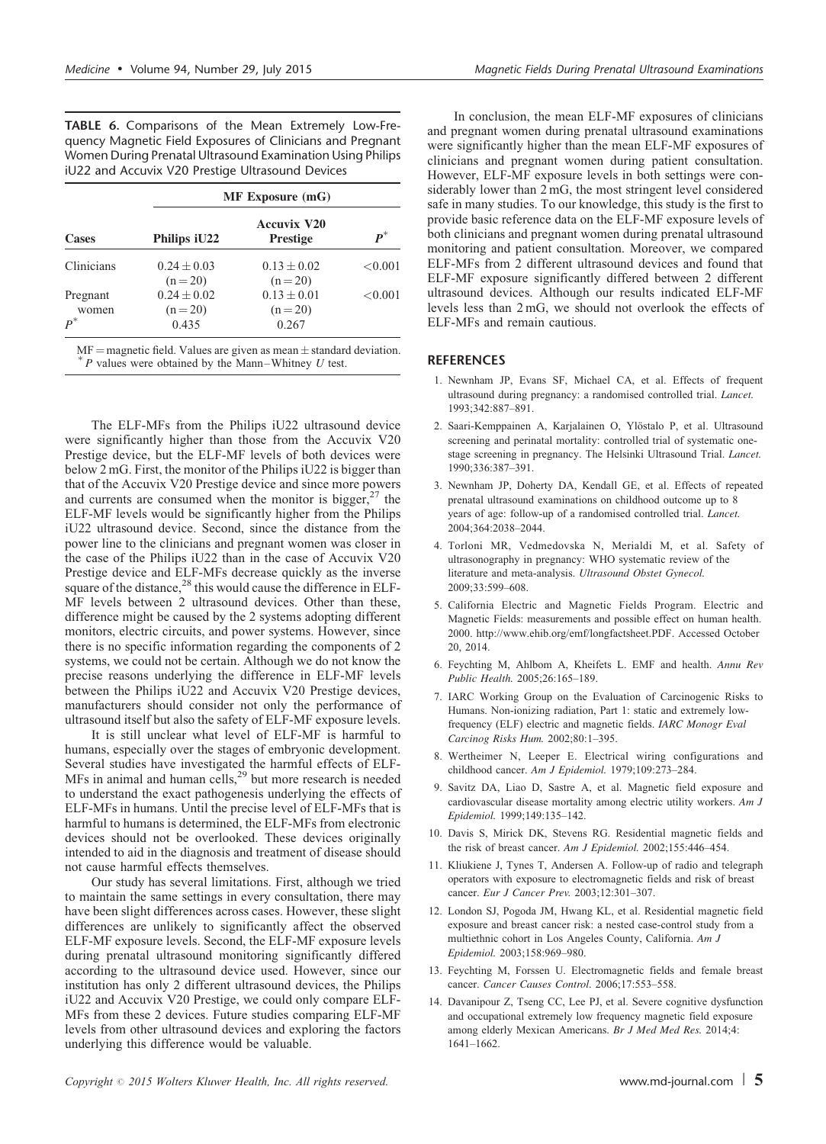<span id="page-4-0"></span>

|  | TABLE 6. Comparisons of the Mean Extremely Low-Fre-        |  |  |  |
|--|------------------------------------------------------------|--|--|--|
|  | quency Magnetic Field Exposures of Clinicians and Pregnant |  |  |  |
|  | Women During Prenatal Ultrasound Examination Using Philips |  |  |  |
|  | iU22 and Accuvix V20 Prestige Ultrasound Devices           |  |  |  |

|                            | $MF$ Exposure $(mG)$                   |                                      |                    |  |  |  |
|----------------------------|----------------------------------------|--------------------------------------|--------------------|--|--|--|
| <b>Cases</b>               | Philips iU22                           | Accuvix V20<br><b>Prestige</b>       | $\boldsymbol{p}^*$ |  |  |  |
| Clinicians                 | $0.24 + 0.03$<br>$(n=20)$              | $0.13 + 0.02$<br>$(n=20)$            | ${<}0.001$         |  |  |  |
| Pregnant<br>women<br>$p^*$ | $0.24 \pm 0.02$<br>$(n = 20)$<br>0.435 | $0.13 \pm 0.01$<br>$(n=20)$<br>0.267 | ${<}0.001$         |  |  |  |

MF = magnetic field. Values are given as mean  $\pm$  standard deviation. 
<sup>\*</sup> *P* values were obtained by the Mann–Whitney *U* test.

The ELF-MFs from the Philips iU22 ultrasound device were significantly higher than those from the Accuvix V20 Prestige device, but the ELF-MF levels of both devices were below 2 mG. First, the monitor of the Philips iU22 is bigger than that of the Accuvix V20 Prestige device and since more powers and currents are consumed when the monitor is bigger,  $27$  the ELF-MF levels would be significantly higher from the Philips iU22 ultrasound device. Second, since the distance from the power line to the clinicians and pregnant women was closer in the case of the Philips iU22 than in the case of Accuvix V20 Prestige device and ELF-MFs decrease quickly as the inverse square of the distance, $^{28}$  $^{28}$  $^{28}$  this would cause the difference in ELF-MF levels between 2 ultrasound devices. Other than these, difference might be caused by the 2 systems adopting different monitors, electric circuits, and power systems. However, since there is no specific information regarding the components of 2 systems, we could not be certain. Although we do not know the precise reasons underlying the difference in ELF-MF levels between the Philips iU22 and Accuvix V20 Prestige devices, manufacturers should consider not only the performance of ultrasound itself but also the safety of ELF-MF exposure levels.

It is still unclear what level of ELF-MF is harmful to humans, especially over the stages of embryonic development. Several studies have investigated the harmful effects of ELF-MFs in animal and human cells,<sup>[29](#page-5-0)</sup> but more research is needed to understand the exact pathogenesis underlying the effects of ELF-MFs in humans. Until the precise level of ELF-MFs that is harmful to humans is determined, the ELF-MFs from electronic devices should not be overlooked. These devices originally intended to aid in the diagnosis and treatment of disease should not cause harmful effects themselves.

Our study has several limitations. First, although we tried to maintain the same settings in every consultation, there may have been slight differences across cases. However, these slight differences are unlikely to significantly affect the observed ELF-MF exposure levels. Second, the ELF-MF exposure levels during prenatal ultrasound monitoring significantly differed according to the ultrasound device used. However, since our institution has only 2 different ultrasound devices, the Philips iU22 and Accuvix V20 Prestige, we could only compare ELF-MFs from these 2 devices. Future studies comparing ELF-MF levels from other ultrasound devices and exploring the factors underlying this difference would be valuable.

In conclusion, the mean ELF-MF exposures of clinicians and pregnant women during prenatal ultrasound examinations were significantly higher than the mean ELF-MF exposures of clinicians and pregnant women during patient consultation. However, ELF-MF exposure levels in both settings were considerably lower than 2 mG, the most stringent level considered safe in many studies. To our knowledge, this study is the first to provide basic reference data on the ELF-MF exposure levels of both clinicians and pregnant women during prenatal ultrasound monitoring and patient consultation. Moreover, we compared ELF-MFs from 2 different ultrasound devices and found that ELF-MF exposure significantly differed between 2 different ultrasound devices. Although our results indicated ELF-MF levels less than 2 mG, we should not overlook the effects of ELF-MFs and remain cautious.

## **REFERENCES**

- 1. Newnham JP, Evans SF, Michael CA, et al. Effects of frequent ultrasound during pregnancy: a randomised controlled trial. Lancet. 1993;342:887–891.
- 2. Saari-Kemppainen A, Karjalainen O, Ylöstalo P, et al. Ultrasound screening and perinatal mortality: controlled trial of systematic onestage screening in pregnancy. The Helsinki Ultrasound Trial. Lancet. 1990;336:387–391.
- 3. Newnham JP, Doherty DA, Kendall GE, et al. Effects of repeated prenatal ultrasound examinations on childhood outcome up to 8 years of age: follow-up of a randomised controlled trial. Lancet. 2004;364:2038–2044.
- 4. Torloni MR, Vedmedovska N, Merialdi M, et al. Safety of ultrasonography in pregnancy: WHO systematic review of the literature and meta-analysis. Ultrasound Obstet Gynecol. 2009;33:599–608.
- 5. California Electric and Magnetic Fields Program. Electric and Magnetic Fields: measurements and possible effect on human health. 2000. http://www.ehib.org/emf/longfactsheet.PDF. Accessed October 20, 2014.
- 6. Feychting M, Ahlbom A, Kheifets L. EMF and health. Annu Rev Public Health. 2005;26:165–189.
- 7. IARC Working Group on the Evaluation of Carcinogenic Risks to Humans. Non-ionizing radiation, Part 1: static and extremely lowfrequency (ELF) electric and magnetic fields. IARC Monogr Eval Carcinog Risks Hum. 2002;80:1–395.
- 8. Wertheimer N, Leeper E. Electrical wiring configurations and childhood cancer. Am J Epidemiol. 1979;109:273–284.
- 9. Savitz DA, Liao D, Sastre A, et al. Magnetic field exposure and cardiovascular disease mortality among electric utility workers. Am J Epidemiol. 1999;149:135–142.
- 10. Davis S, Mirick DK, Stevens RG. Residential magnetic fields and the risk of breast cancer. Am J Epidemiol. 2002;155:446–454.
- 11. Kliukiene J, Tynes T, Andersen A. Follow-up of radio and telegraph operators with exposure to electromagnetic fields and risk of breast cancer. Eur J Cancer Prev. 2003;12:301–307.
- 12. London SJ, Pogoda JM, Hwang KL, et al. Residential magnetic field exposure and breast cancer risk: a nested case-control study from a multiethnic cohort in Los Angeles County, California. Am J Epidemiol. 2003;158:969–980.
- 13. Feychting M, Forssen U. Electromagnetic fields and female breast cancer. Cancer Causes Control. 2006;17:553–558.
- 14. Davanipour Z, Tseng CC, Lee PJ, et al. Severe cognitive dysfunction and occupational extremely low frequency magnetic field exposure among elderly Mexican Americans. Br J Med Med Res. 2014;4: 1641–1662.